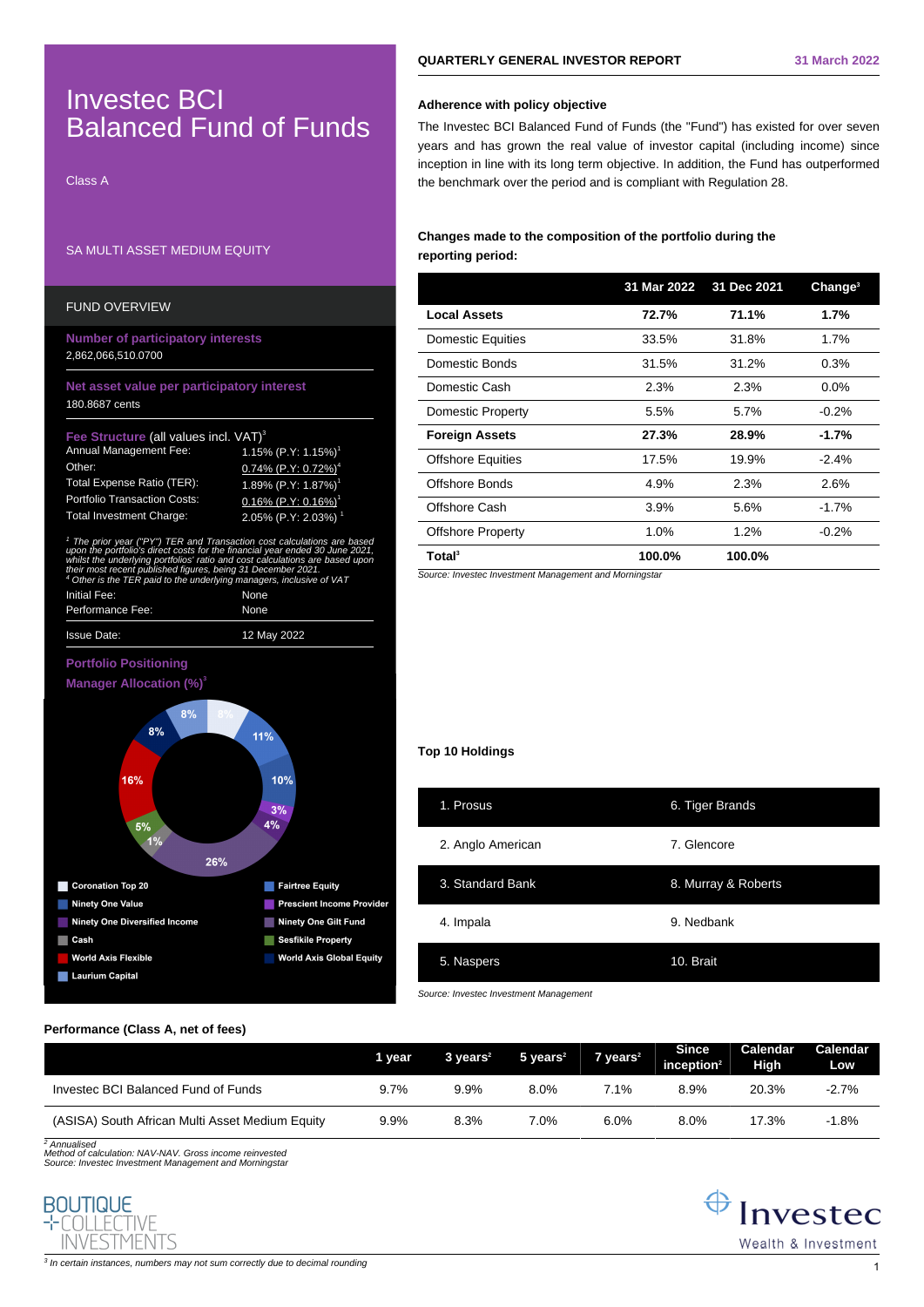# $^3$  In certain instances, numbers may not sum correctly due to decimal rounding  $\,1\,$

# **QUARTERLY GENERAL INVESTOR REPORT 31 March 2022**

# **Adherence with policy objective**

The Investec BCI Balanced Fund of Funds (the "Fund") has existed for over seven years and has grown the real value of investor capital (including income) since inception in line with its long term objective. In addition, the Fund has outperformed the benchmark over the period and is compliant with Regulation 28.

# **Changes made to the composition of the portfolio during the reporting period:**

|                          | 31 Mar 2022 | 31 Dec 2021 | Change <sup>3</sup> |
|--------------------------|-------------|-------------|---------------------|
| <b>Local Assets</b>      | 72.7%       | 71.1%       | 1.7%                |
| <b>Domestic Equities</b> | 33.5%       | 31.8%       | 1.7%                |
| Domestic Bonds           | 31.5%       | 31.2%       | 0.3%                |
| Domestic Cash            | 2.3%        | 2.3%        | $0.0\%$             |
| <b>Domestic Property</b> | 5.5%        | 5.7%        | $-0.2%$             |
| <b>Foreign Assets</b>    | 27.3%       | 28.9%       | $-1.7%$             |
| <b>Offshore Equities</b> | 17.5%       | 19.9%       | $-2.4%$             |
| Offshore Bonds           | 4.9%        | 2.3%        | 2.6%                |
| Offshore Cash            | 3.9%        | 5.6%        | $-1.7%$             |
| <b>Offshore Property</b> | 1.0%        | 1.2%        | $-0.2%$             |
| Total <sup>3</sup>       | 100.0%      | 100.0%      |                     |

Source: Investec Investment Management and Morningstar

## **Top 10 Holdings**

| 1. Prosus         | 6. Tiger Brands     |
|-------------------|---------------------|
| 2. Anglo American | 7. Glencore         |
| 3. Standard Bank  | 8. Murray & Roberts |
| 4. Impala         | 9. Nedbank          |
| 5. Naspers        | 10. Brait           |

Source: Investec Investment Management

## **Performance (Class A, net of fees)**

Investec BCI

SA MULTI ASSET MEDIUM EQUITY

**Number of participatory interests**

Fee Structure (all values incl. VAT)<sup>3</sup>

Initial Fee: None Performance Fee: None

 $8%$ 

Issue Date: 12 May 2022

**Net asset value per participatory interest**

Annual Management Fee:  $\frac{1.15\%}{0.74\%}$  (P.Y: 1.15%)<sup>1</sup><br>Other: 0.74% (P.Y<sup>.</sup> 0.72%)<sup>1</sup>

Total Expense Ratio (TER): 1.89% (P.Y: 1.87%) Portfolio Transaction Costs: 0.16% (P.Y: 0.16%) Total Investment Charge: 2.05% (P.Y: 2.03%)

1 The prior year ("PY") TER and Transaction cost calculations are based upon the portfolio's direct costs for the financial year ended 30 June 2021, whilst the underlying portfolios' ratio and cost calculations are based upon their most recent published figures, being 31 December 2021.

26%

folio's direct costs for the financial year ended 30 June 2021<br>Serving portfolios' ratio and cost calculations are based upor<br>Ferri published figures, being 31 December 2021.<br>TER paid to the underlying managers, inclusive

11%

10%  $3%$  $4%$ 

Fairtree Equity

Prescient Income Provider

**World Axis Global Equity** 

Ninety One Gilt Fund

Sesfikile Property

 $0.74\%$  (P.Y: 0.72%)<sup>4</sup>

Class A

FUND OVERVIEW

2,862,066,510.0700

180.8687 cents

 $\frac{4 \text{ Other Host rot}}{4 \text{ Other is the}}$ 

**Portfolio Positioning Manager Allocation (%)<sup>3</sup>**

16%

Coronation Top 20

Ninety One Value

Laurium Capital

World Axis Flexible

Cash

Ninety One Diversified Income

 $5%$  $1%$ 

Balanced Fund of Funds

|                                                 | 1 year | $3 \text{ years}^2$ | $5$ years <sup>2</sup> | $7$ vears <sup>2</sup> | <b>Since</b><br>inception $2$ | Calendar<br>High | Calendar<br>Low |
|-------------------------------------------------|--------|---------------------|------------------------|------------------------|-------------------------------|------------------|-----------------|
| Invested BCI Balanced Fund of Funds             | 9.7%   | 9.9%                | 8.0%                   | 7.1%                   | 8.9%                          | 20.3%            | $-2.7%$         |
| (ASISA) South African Multi Asset Medium Equity | 9.9%   | 8.3%                | 7.0%                   | 6.0%                   | 8.0%                          | 17.3%            | $-1.8%$         |

<sup>2</sup> Annualised

Method of calculation: NAV-NAV. Gross income reinvested Source: Investec Investment Management and Morningstar



 $\bigoplus$  Investec Wealth & Investment